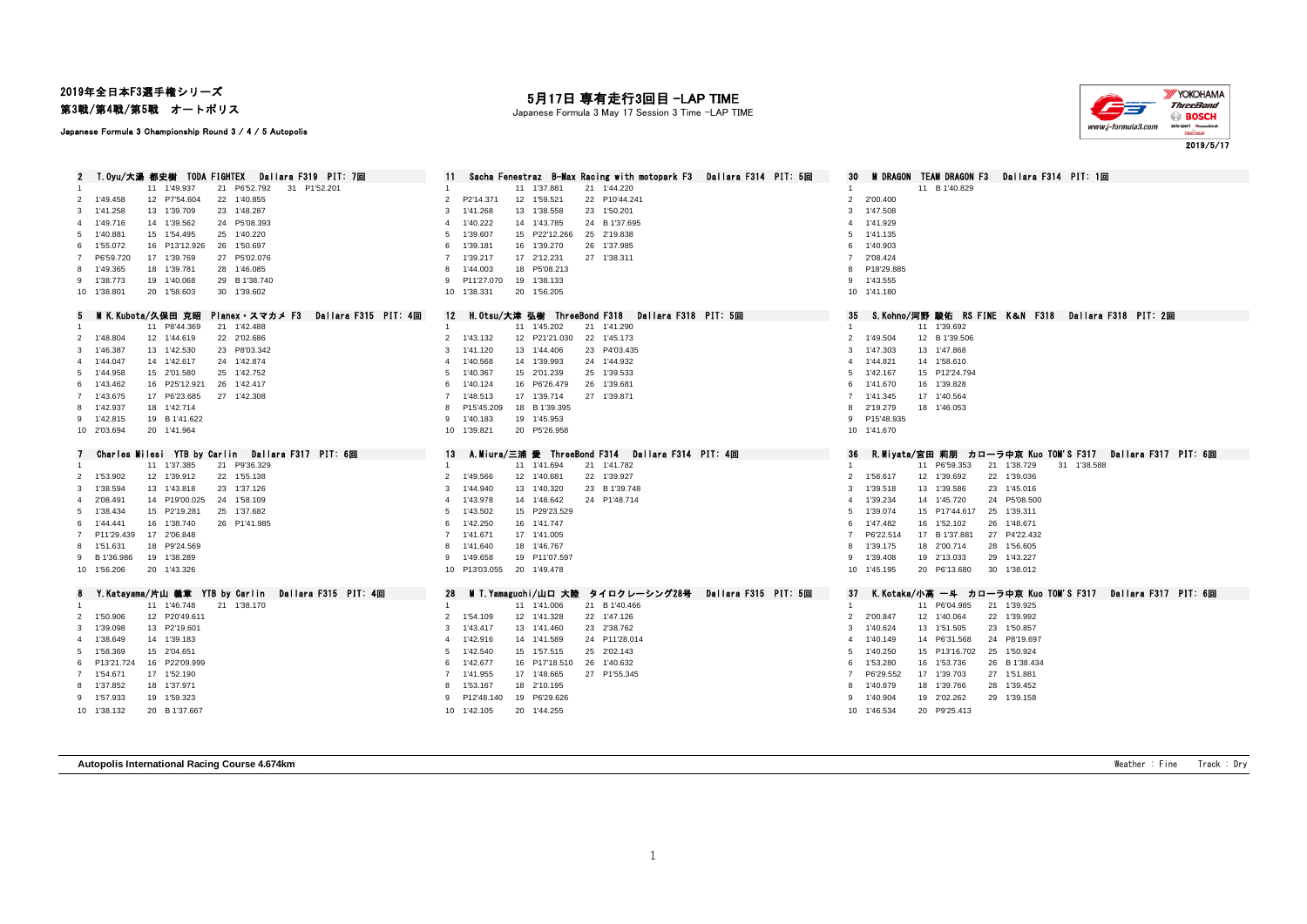# 2019年全日本F3選手権シリーズ

第3戦/第4戦/第5戦 オートポリス

#### Japanese Formula 3 Championship Round 3 / 4 / 5 Autopolis

### 月17日 専有走行3回目 -LAP TIME

Japanese Formula 3 May 17 Session 3 Time -LAP TIME



| T.Oyu/大湯 都史樹 TODA FIGHTEX<br>Dallara F319 PIT: 7回                | Sacha Fenestraz B-Max Racing with motopark F3 Dallara F314 PIT: 5回 | <b>M DRAGON TEAM DRAGON F3</b><br>Dallara F314 PIT: 1回<br>30           |
|------------------------------------------------------------------|--------------------------------------------------------------------|------------------------------------------------------------------------|
| 21 P6'52.792<br>31 P1'52.201<br>11 1'49.937                      | 11 1'37.881<br>21 1'44.220                                         | 11 B 1'40.829                                                          |
| 12 P7'54.604<br>22 1'40.855<br>2 1'49.458                        | P2'14.371<br>12 1'59.521<br>22 P10'44.241<br>$\overline{2}$        | 2'00.400<br>$\overline{2}$                                             |
| 23 1'48.287<br>3 1'41.258<br>13 1'39.709                         | 23 1'50.201<br>1'41.268<br>13 1'38.558<br>3                        | 1'47.508<br>3                                                          |
| 4 1'49.716<br>14 1'39.562<br>24 P5'08.393                        | 1'40.222<br>14 1'43.785<br>24 B 1'37.695<br>$\mathbf{A}$           | 1'41.929                                                               |
| 25 1'40.220<br>5 1'40.881<br>15 1'54.495                         | 1'39.607<br>15 P22'12.266<br>25 2'19.838<br>-5                     | 1'41.135                                                               |
| 6 1'55.072<br>26 1'50.697<br>16 P13'12.926                       | 1'39.181<br>16 1'39.270<br>26 1'37.985<br>6                        | 1'40.903                                                               |
| 17 1'39.769<br>27 P5'02.076<br>7 P6'59.720                       | 1'39.217<br>17 2'12.231<br>27 1'38.311                             | 2'08.424                                                               |
| 8 1'49.365<br>18 1'39.781<br>28 1'46.085                         | 1'44.003<br>18 P5'08.213<br>8                                      | P18'29.885                                                             |
| 19 1'40.068<br>9 1'38.773<br>29 B 1'38.740                       | P11'27.070<br>19 1'38.133<br>9                                     | 9 1'43.555                                                             |
| 10 1'38.801<br>20 1'58.603<br>30 1'39.602                        | 20 1'56.205<br>10 1'38.331                                         | 10 1'41.180                                                            |
| M K.Kubota/久保田 克昭<br>Planex スマカメ F3<br>Dallara F315 PIT: 4回<br>b | H.Otsu/大津 弘樹 ThreeBond F318 Dallara F318 PIT: 5回<br>12             | S.Kohno/河野 駿佑 RS FINE K&N F318 Dallara F318 PIT: 2回<br>35              |
| 11 P8'44.369<br>21 1'42.488                                      | 11 1'45.202<br>21 1'41.290<br>$\mathbf{1}$                         | 11 1'39.692                                                            |
| 22 2'02.686<br>2 1'48.804<br>12 1'44.619                         | 2 1'43.132<br>12 P21'21.030<br>22 1'45.173                         | 1'49.504<br>12 B 1'39.506<br>2                                         |
| 3 1'46.387<br>13 1'42.530<br>23 P8'03.342                        | 1'41.120<br>13 1'44.406<br>23 P4'03.435<br>3                       | 1'47.303<br>13 1'47.868<br>3                                           |
| 14 1'42.617<br>24 1'42.874<br>4 1'44.047                         | 1'40.568<br>14 1'39.993<br>24 1'44.932<br>4                        | 1'44.821<br>14 1'58.610                                                |
| 5 1'44.958<br>15 2'01.580<br>25 1'42.752                         | 1'40.367<br>15 2'01.239<br>25 1'39.533<br>5                        | 1'42.167<br>15 P12'24.794<br>5                                         |
| 26 1'42.417<br>6 1'43.462<br>16 P25'12.921                       | 1'40.124<br>16 P6'26.479<br>26 1'39.681<br>6                       | 1'41.670<br>16 1'39.828<br>6                                           |
| 7 1'43.675<br>27 1'42.308<br>17 P6'23.685                        | 1'48.513<br>17 1'39.714<br>27 1'39.871<br>$\overline{7}$           | 1'41.345<br>17 1'40.564<br>$\overline{7}$                              |
| 8 1'42.937<br>18 1'42.714                                        | P15'45.209<br>18 B 1'39.395<br>8                                   | 2'19.279<br>18 1'46.053<br>8                                           |
| 9 1'42.815<br>19 B 1'41.622                                      | 19 1'45.953<br>1'40.183<br>9                                       | P15'48.935<br>9                                                        |
| 10 2'03.694<br>20 1'41.964                                       | 10 1'39.821<br>20 P5'26.958                                        | 10 1'41.670                                                            |
|                                                                  |                                                                    |                                                                        |
|                                                                  |                                                                    |                                                                        |
| Charles Milesi YTB by Carlin Dallara F317 PIT: 6回<br>7           | 13<br>A.Miura/三浦 愛 ThreeBond F314 Dallara F314 PIT: 4回             | R.Miyata/宮田 莉朋 カローラ中京 Kuo TOM'S F317  Dallara F317  PIT: 6回<br>36      |
| 11 1'37.385<br>21 P9'36.329                                      | 11 1'41.694<br>21 1'41.782                                         | 11 P6'59.353<br>21 1'38.729<br>31 1'38.588                             |
| 22 1'55.138<br>2 1'53.902<br>12 1'39.912                         | 1'49.566<br>12 1'40.681<br>22 1'39.927<br>2                        | 1'56.617<br>22 1'39.036<br>12 1'39.692<br>2                            |
| 3 1'38.594<br>13 1'43.818<br>23 1'37.126                         | 1'44.940<br>13 1'40.320<br>23 B 1'39.748<br>3                      | 1'39.518<br>13 1'39.586<br>23 1'45.016<br>3                            |
| 4 2'08.491<br>14 P19'00.025<br>24 1'58.109                       | 1'43.978<br>14 1'48.642<br>24 P1'48.714                            | 1'39.234<br>14 1'45,720<br>24 P5'08.500                                |
| 5 1'38.434<br>25 1'37.682<br>15 P2'19.281                        | 15 P29'23.529<br>1'43.502<br>5                                     | 1'39.074<br>15 P17'44.617<br>25 1'39.311<br>5                          |
| 16 1'38.740<br>1'44.441<br>26 P1'41.985<br>6                     | 1'42.250<br>16 1'41.747<br>6                                       | 1'47.482<br>16 1'52.102<br>26 1'48.671<br>-6                           |
| 7 P11'29.439<br>17 2'06.848                                      | 7 1'41.671<br>17 1'41.005                                          | P6'22.514<br>17 B 1'37.881<br>27 P4'22.432                             |
| 18 P9'24.569<br>8 1'51.631<br>9 B 1'36.986<br>19 1'38.289        | 1'41.640<br>18 1'46.767<br>1'49.658<br>19 P11'07.597<br>9          | 1'39.175<br>18 2'00.714<br>28 1'56.605<br>1'39.408<br>29 1'43.227<br>9 |
| 10 1'56.206<br>20 1'43.326                                       | 10 P13'03.055<br>20 1'49.478                                       | 19 2'13.033<br>10 1'45.195<br>20 P6'13.680<br>30 1'38.012              |
|                                                                  |                                                                    |                                                                        |
| Y.Katayama/片山 義章 YTB by Carlin  Dallara F315  PIT: 4回<br>8       | M T.Yamaguchi/山口 大陸 タイロクレーシング28号<br>28<br>Dallara F315 PIT: 5回     | K.Kotaka/小高 一斗 カローラ中京 Kuo TOM'S F317  Dallara F317 PIT: 6回<br>37       |
| 11 1'46.748<br>21 1'38.170                                       | 11 1'41.006<br>21 B 1'40.466                                       | 11 P6'04.985<br>21 1'39.925<br>-1                                      |
| 2 1'50.906<br>12 P20'49.611                                      | 1'54.109<br>12 1'41.328<br>22 1'47.126<br>$\overline{2}$           | 2'00.847<br>12 1'40.064<br>22 1'39.992<br>2                            |
| 3 1'39.098<br>13 P2'19.601                                       | 1'43.417<br>13 1'41.460<br>23 2'38.762<br>3                        | 13 1'51.505<br>1'40.624<br>23 1'50.857<br>3                            |
| 4 1'38.649<br>14 1'39.183                                        | 1'42.916<br>14 1'41.589<br>24 P11'28.014<br>4                      | 1'40.149<br>14 P6'31.568<br>24 P8'19.697                               |
| 5 1'58.369<br>15 2'04.651                                        | 1'42.540<br>15 1'57.515<br>25 2'02.143<br>5                        | 1'40.250<br>15 P13'16.702<br>25 1'50.924<br>5                          |
| 6 P13'21.724<br>16 P22'09.999                                    | 1'42.677<br>16 P17'18.510<br>26 1'40.632<br>6                      | 1'53.280<br>16 1'53.736<br>26 B 1'38.434<br>-6                         |
| 7 1'54.671<br>17 1'52.190                                        | 1'41.955<br>17 1'48.665<br>27 P1'55.345<br>$7^{\circ}$             | P6'29.552<br>17 1'39.703<br>27 1'51.881                                |
| 8 1'37.852<br>18 1'37.971                                        | 1'53.167<br>18 2'10.195                                            | 1'40.879<br>18 1'39.766<br>28 1'39.452                                 |
| 9 1'57.933<br>19 1'59.323<br>10 1'38.132<br>20 B 1'37.667        | 19 P6'29.626<br>P12'48.140<br>9<br>10 1'42.105<br>20 1'44.255      | 1'40.904<br>19 2'02.262<br>29 1'39.158<br>10 1'46.534<br>20 P9'25.413  |

**Autopolis International Racing Course 4.674km** Track : Dry